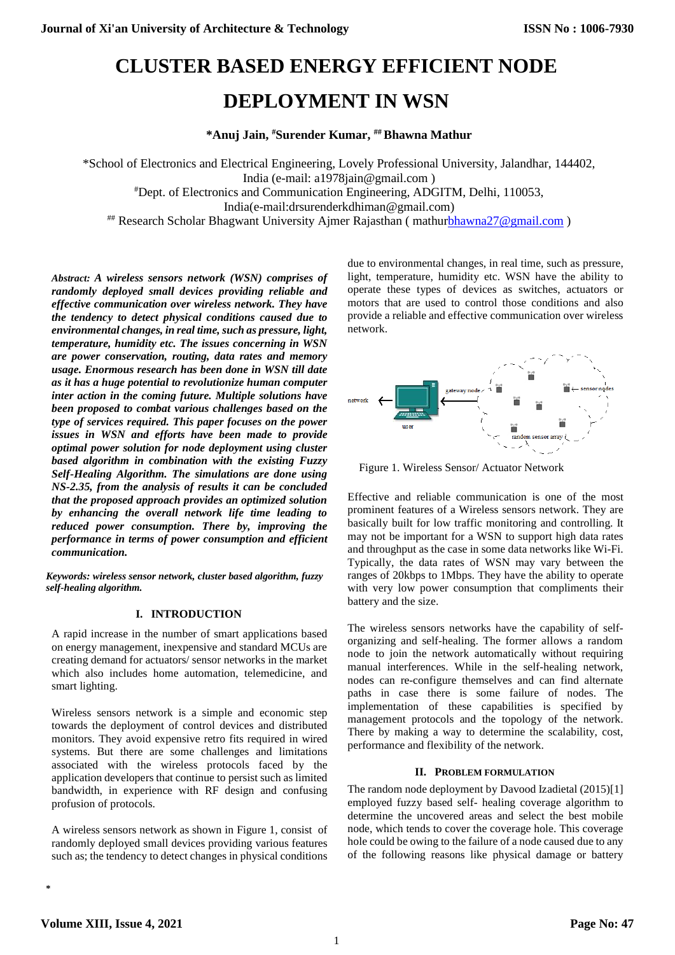# **CLUSTER BASED ENERGY EFFICIENT NODE**

## **DEPLOYMENT IN WSN**

**\*Anuj Jain, #Surender Kumar, ## Bhawna Mathur**

\*School of Electronics and Electrical Engineering, Lovely Professional University, Jalandhar, 144402, India (e-mail: a1978jain@gmail.com ) #Dept. of Electronics and Communication Engineering, ADGITM, Delhi, 110053, India(e-mail:drsurenderkdhiman@gmail.com) # Research Scholar Bhagwant University Ajmer Rajasthan (mathu[rbhawna27@gmail.com](mailto:bhawna27@gmail.com))

*Abstract: A wireless sensors network (WSN) comprises of randomly deployed small devices providing reliable and effective communication over wireless network. They have the tendency to detect physical conditions caused due to environmental changes, in real time, such as pressure, light, temperature, humidity etc. The issues concerning in WSN are power conservation, routing, data rates and memory usage. Enormous research has been done in WSN till date as it has a huge potential to revolutionize human computer inter action in the coming future. Multiple solutions have been proposed to combat various challenges based on the type of services required. This paper focuses on the power issues in WSN and efforts have been made to provide optimal power solution for node deployment using cluster based algorithm in combination with the existing Fuzzy Self-Healing Algorithm. The simulations are done using NS-2.35, from the analysis of results it can be concluded that the proposed approach provides an optimized solution by enhancing the overall network life time leading to reduced power consumption. There by, improving the performance in terms of power consumption and efficient communication.*

*Keywords: wireless sensor network, cluster based algorithm, fuzzy self-healing algorithm.*

### **I. INTRODUCTION**

A rapid increase in the number of smart applications based on energy management, inexpensive and standard MCUs are creating demand for actuators/ sensor networks in the market which also includes home automation, telemedicine, and smart lighting.

Wireless sensors network is a simple and economic step towards the deployment of control devices and distributed monitors. They avoid expensive retro fits required in wired systems. But there are some challenges and limitations associated with the wireless protocols faced by the application developers that continue to persist such as limited bandwidth, in experience with RF design and confusing profusion of protocols.

A wireless sensors network as shown in Figure 1, consist of randomly deployed small devices providing various features such as; the tendency to detect changes in physical conditions

due to environmental changes, in real time, such as pressure, light, temperature, humidity etc. WSN have the ability to operate these types of devices as switches, actuators or motors that are used to control those conditions and also provide a reliable and effective communication over wireless network.



Figure 1. Wireless Sensor/ Actuator Network

Effective and reliable communication is one of the most prominent features of a Wireless sensors network. They are basically built for low traffic monitoring and controlling. It may not be important for a WSN to support high data rates and throughput as the case in some data networks like Wi-Fi. Typically, the data rates of WSN may vary between the ranges of 20kbps to 1Mbps. They have the ability to operate with very low power consumption that compliments their battery and the size.

The wireless sensors networks have the capability of selforganizing and self-healing. The former allows a random node to join the network automatically without requiring manual interferences. While in the self-healing network, nodes can re-configure themselves and can find alternate paths in case there is some failure of nodes. The implementation of these capabilities is specified by management protocols and the topology of the network. There by making a way to determine the scalability, cost, performance and flexibility of the network.

### **II. PROBLEM FORMULATION**

The random node deployment by Davood Izadietal (2015)[1] employed fuzzy based self- healing coverage algorithm to determine the uncovered areas and select the best mobile node, which tends to cover the coverage hole. This coverage hole could be owing to the failure of a node caused due to any of the following reasons like physical damage or battery

**\***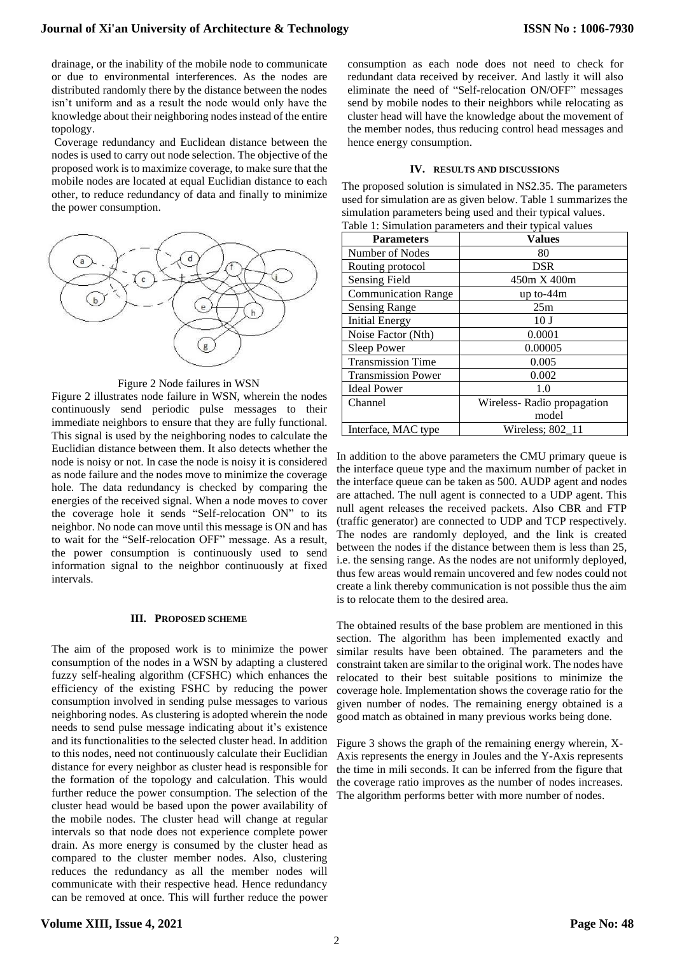drainage, or the inability of the mobile node to communicate or due to environmental interferences. As the nodes are distributed randomly there by the distance between the nodes isn't uniform and as a result the node would only have the knowledge about their neighboring nodes instead of the entire topology.

Coverage redundancy and Euclidean distance between the nodes is used to carry out node selection. The objective of the proposed work is to maximize coverage, to make sure that the mobile nodes are located at equal Euclidian distance to each other, to reduce redundancy of data and finally to minimize the power consumption.



#### Figure 2 Node failures in WSN

Figure 2 illustrates node failure in WSN, wherein the nodes continuously send periodic pulse messages to their immediate neighbors to ensure that they are fully functional. This signal is used by the neighboring nodes to calculate the Euclidian distance between them. It also detects whether the node is noisy or not. In case the node is noisy it is considered as node failure and the nodes move to minimize the coverage hole. The data redundancy is checked by comparing the energies of the received signal. When a node moves to cover the coverage hole it sends "Self-relocation ON" to its neighbor. No node can move until this message is ON and has to wait for the "Self-relocation OFF" message. As a result, the power consumption is continuously used to send information signal to the neighbor continuously at fixed intervals.

#### **III. PROPOSED SCHEME**

The aim of the proposed work is to minimize the power consumption of the nodes in a WSN by adapting a clustered fuzzy self-healing algorithm (CFSHC) which enhances the efficiency of the existing FSHC by reducing the power consumption involved in sending pulse messages to various neighboring nodes. As clustering is adopted wherein the node needs to send pulse message indicating about it's existence and its functionalities to the selected cluster head. In addition to this nodes, need not continuously calculate their Euclidian distance for every neighbor as cluster head is responsible for the formation of the topology and calculation. This would further reduce the power consumption. The selection of the cluster head would be based upon the power availability of the mobile nodes. The cluster head will change at regular intervals so that node does not experience complete power drain. As more energy is consumed by the cluster head as compared to the cluster member nodes. Also, clustering reduces the redundancy as all the member nodes will communicate with their respective head. Hence redundancy can be removed at once. This will further reduce the power

consumption as each node does not need to check for redundant data received by receiver. And lastly it will also eliminate the need of "Self-relocation ON/OFF" messages send by mobile nodes to their neighbors while relocating as cluster head will have the knowledge about the movement of the member nodes, thus reducing control head messages and hence energy consumption.

#### **IV. RESULTS AND DISCUSSIONS**

The proposed solution is simulated in NS2.35. The parameters used for simulation are as given below. Table 1 summarizes the simulation parameters being used and their typical values. Table 1: Simulation parameters and their typical values

| <b>Parameters</b>          | <b>Values</b>              |  |
|----------------------------|----------------------------|--|
| Number of Nodes            | 80                         |  |
| Routing protocol           | <b>DSR</b>                 |  |
| <b>Sensing Field</b>       | 450m X 400m                |  |
| <b>Communication Range</b> | $up to -44m$               |  |
| <b>Sensing Range</b>       | 25m                        |  |
| <b>Initial Energy</b>      | 10 <sub>J</sub>            |  |
| Noise Factor (Nth)         | 0.0001                     |  |
| Sleep Power                | 0.00005                    |  |
| <b>Transmission Time</b>   | 0.005                      |  |
| <b>Transmission Power</b>  | 0.002                      |  |
| <b>Ideal Power</b>         | 1.0                        |  |
| Channel                    | Wireless-Radio propagation |  |
|                            | model                      |  |
| Interface, MAC type        | Wireless: 802 11           |  |

In addition to the above parameters the CMU primary queue is the interface queue type and the maximum number of packet in the interface queue can be taken as 500. AUDP agent and nodes are attached. The null agent is connected to a UDP agent. This null agent releases the received packets. Also CBR and FTP (traffic generator) are connected to UDP and TCP respectively. The nodes are randomly deployed, and the link is created between the nodes if the distance between them is less than 25, i.e. the sensing range. As the nodes are not uniformly deployed, thus few areas would remain uncovered and few nodes could not create a link thereby communication is not possible thus the aim is to relocate them to the desired area.

The obtained results of the base problem are mentioned in this section. The algorithm has been implemented exactly and similar results have been obtained. The parameters and the constraint taken are similar to the original work. The nodes have relocated to their best suitable positions to minimize the coverage hole. Implementation shows the coverage ratio for the given number of nodes. The remaining energy obtained is a good match as obtained in many previous works being done.

Figure 3 shows the graph of the remaining energy wherein, X-Axis represents the energy in Joules and the Y-Axis represents the time in mili seconds. It can be inferred from the figure that the coverage ratio improves as the number of nodes increases. The algorithm performs better with more number of nodes.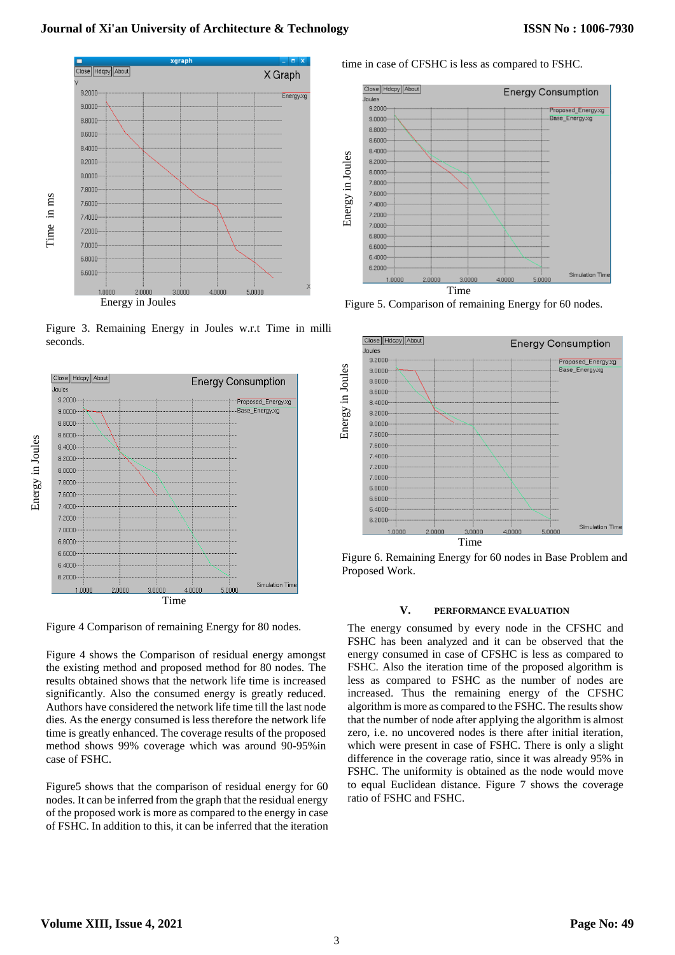

Figure 3. Remaining Energy in Joules w.r.t Time in milli seconds.



Figure 4 Comparison of remaining Energy for 80 nodes.

Figure 4 shows the Comparison of residual energy amongst the existing method and proposed method for 80 nodes. The results obtained shows that the network life time is increased significantly. Also the consumed energy is greatly reduced. Authors have considered the network life time till the last node dies. As the energy consumed is less therefore the network life time is greatly enhanced. The coverage results of the proposed method shows 99% coverage which was around 90-95%in case of FSHC.

Figure5 shows that the comparison of residual energy for 60 nodes. It can be inferred from the graph that the residual energy of the proposed work is more as compared to the energy in case of FSHC. In addition to this, it can be inferred that the iteration time in case of CFSHC is less as compared to FSHC.



Figure 5. Comparison of remaining Energy for 60 nodes.



Figure 6. Remaining Energy for 60 nodes in Base Problem and Proposed Work.

### **V. PERFORMANCE EVALUATION**

The energy consumed by every node in the CFSHC and FSHC has been analyzed and it can be observed that the energy consumed in case of CFSHC is less as compared to FSHC. Also the iteration time of the proposed algorithm is less as compared to FSHC as the number of nodes are increased. Thus the remaining energy of the CFSHC algorithm is more as compared to the FSHC. The results show that the number of node after applying the algorithm is almost zero, i.e. no uncovered nodes is there after initial iteration, which were present in case of FSHC. There is only a slight difference in the coverage ratio, since it was already 95% in FSHC. The uniformity is obtained as the node would move to equal Euclidean distance. Figure 7 shows the coverage ratio of FSHC and FSHC.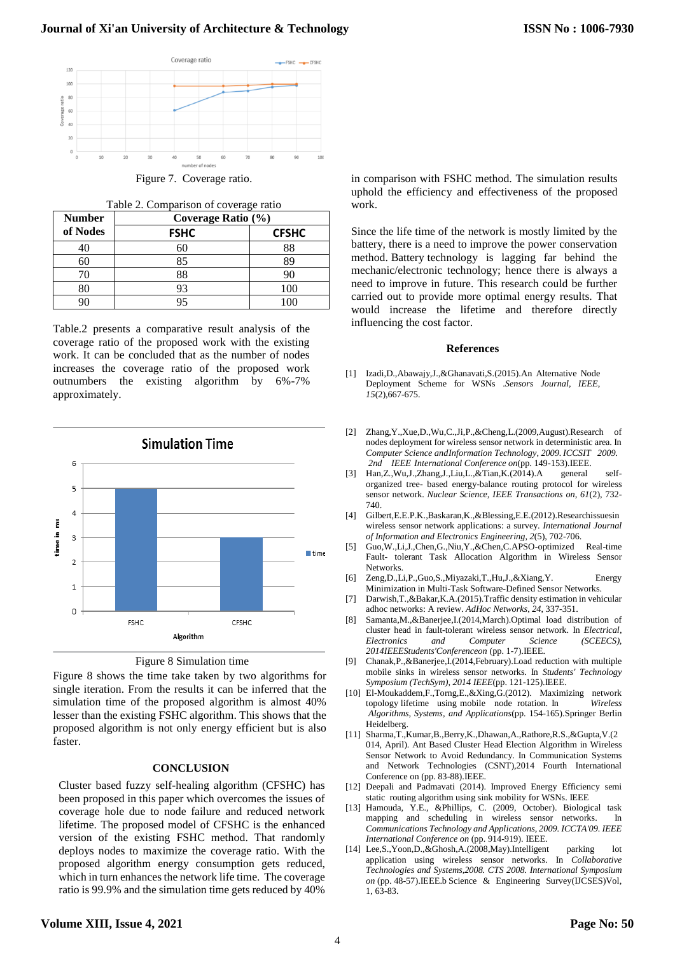

Figure 7. Coverage ratio.

Table 2. Comparison of coverage ratio

| <b>Number</b> | Coverage Ratio (%) |              |
|---------------|--------------------|--------------|
| of Nodes      | <b>FSHC</b>        | <b>CFSHC</b> |
|               |                    | 88           |
| 50            | 85                 | 89           |
|               | 88                 | 90           |
|               | 93                 | 100          |
|               |                    |              |

Table.2 presents a comparative result analysis of the coverage ratio of the proposed work with the existing work. It can be concluded that as the number of nodes increases the coverage ratio of the proposed work outnumbers the existing algorithm by 6%-7% approximately.





Figure 8 shows the time take taken by two algorithms for single iteration. From the results it can be inferred that the simulation time of the proposed algorithm is almost 40% lesser than the existing FSHC algorithm. This shows that the proposed algorithm is not only energy efficient but is also faster.

#### **CONCLUSION**

Cluster based fuzzy self-healing algorithm (CFSHC) has been proposed in this paper which overcomes the issues of coverage hole due to node failure and reduced network lifetime. The proposed model of CFSHC is the enhanced version of the existing FSHC method. That randomly deploys nodes to maximize the coverage ratio. With the proposed algorithm energy consumption gets reduced, which in turn enhances the network life time. The coverage ratio is 99.9% and the simulation time gets reduced by 40%

in comparison with FSHC method. The simulation results uphold the efficiency and effectiveness of the proposed work.

Since the life time of the network is mostly limited by the battery, there is a need to improve the power conservation method. Battery technology is lagging far behind the mechanic/electronic technology; hence there is always a need to improve in future. This research could be further carried out to provide more optimal energy results. That would increase the lifetime and therefore directly influencing the cost factor.

#### **References**

- [1] Izadi,D.,Abawajy,J.,&Ghanavati,S.(2015).An Alternative Node Deployment Scheme for WSNs .*Sensors Journal, IEEE*, *15*(2),667-675.
- [2] Zhang,Y.,Xue,D.,Wu,C.,Ji,P.,&Cheng,L.(2009,August).Research of nodes deployment for wireless sensor network in deterministic area. In *Computer Science andInformation Technology, 2009. ICCSIT 2009. 2nd IEEE International Conference on*(pp. 149-153).IEEE.
- [3] Han,Z.,Wu,J.,Zhang,J.,Liu,L.,&Tian,K.(2014).A general organized tree- based energy-balance routing protocol for wireless sensor network. *Nuclear Science, IEEE Transactions on*, *61*(2), 732- 740.
- [4] Gilbert,E.E.P.K.,Baskaran,K.,&Blessing,E.E.(2012).Researchissuesin wireless sensor network applications: a survey. *International Journal of Information and Electronics Engineering*, *2*(5), 702-706.
- [5] Guo,W.,Li,J.,Chen,G.,Niu,Y.,&Chen,C.APSO-optimized Real-time Fault- tolerant Task Allocation Algorithm in Wireless Sensor Networks.
- [6] Zeng,D.,Li,P.,Guo,S.,Miyazaki,T.,Hu,J.,&Xiang,Y. Energy Minimization in Multi-Task Software-Defined Sensor Networks.
- [7] Darwish,T.,&Bakar,K.A.(2015).Traffic density estimation in vehicular adhoc networks: A review. *AdHoc Networks*, *24*, 337-351.
- [8] Samanta,M.,&Banerjee,I.(2014,March).Optimal load distribution of cluster head in fault-tolerant wireless sensor network. In *Electrical, Electronics and Computer Science (SCEECS), 2014IEEEStudents'Conferenceon* (pp. 1-7).IEEE.
- [9] Chanak,P.,&Banerjee,I.(2014,February).Load reduction with multiple mobile sinks in wireless sensor networks. In *Students' Technology Symposium (TechSym), 2014 IEEE*(pp. 121-125).IEEE.
- [10] El-Moukaddem,F.,Torng,E.,&Xing,G.(2012). Maximizing network topology lifetime using mobile node rotation. In *Wireless Algorithms, Systems, and Applications*(pp. 154-165).Springer Berlin Heidelberg.
- [11] Sharma,T.,Kumar,B.,Berry,K.,Dhawan,A.,Rathore,R.S.,&Gupta,V.(2 014, April). Ant Based Cluster Head Election Algorithm in Wireless Sensor Network to Avoid Redundancy. In Communication Systems and Network Technologies (CSNT),2014 Fourth International Conference on (pp. 83-88).IEEE.
- [12] Deepali and Padmavati (2014). Improved Energy Efficiency semi static routing algorithm using sink mobility for WSNs. IEEE
- [13] Hamouda, Y.E., &Phillips, C. (2009, October). Biological task mapping and scheduling in wireless sensor networks. In *Communications Technology and Applications, 2009. ICCTA'09. IEEE International Conference on* (pp. 914-919). IEEE.
- [14] Lee, S., Yoon, D., & Ghosh, A. (2008, May). Intelligent parking lot application using wireless sensor networks. In *Collaborative Technologies and Systems,2008. CTS 2008. International Symposium on* (pp. 48-57).IEEE.b Science & Engineering Survey(IJCSES)Vol, 1, 63-83.